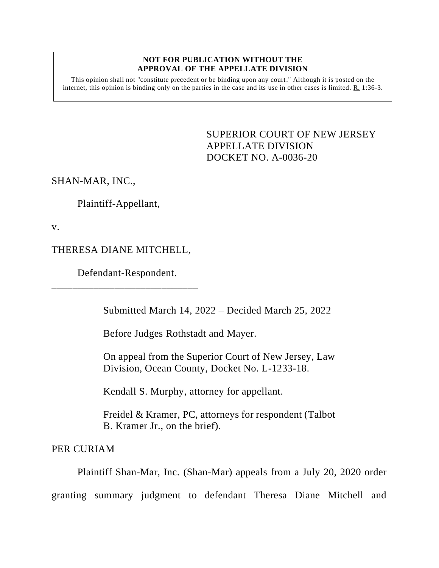## **NOT FOR PUBLICATION WITHOUT THE APPROVAL OF THE APPELLATE DIVISION**

This opinion shall not "constitute precedent or be binding upon any court." Although it is posted on the internet, this opinion is binding only on the parties in the case and its use in other cases is limited. R. 1:36-3.

> <span id="page-0-0"></span>SUPERIOR COURT OF NEW JERSEY APPELLATE DIVISION DOCKET NO. A-0036-20

SHAN-MAR, INC.,

Plaintiff-Appellant,

v.

THERESA DIANE MITCHELL,

Defendant-Respondent. \_\_\_\_\_\_\_\_\_\_\_\_\_\_\_\_\_\_\_\_\_\_\_\_\_\_\_\_

Submitted March 14, 2022 – Decided March 25, 2022

Before Judges Rothstadt and Mayer.

On appeal from the Superior Court of New Jersey, Law Division, Ocean County, Docket No. L-1233-18.

Kendall S. Murphy, attorney for appellant.

Freidel & Kramer, PC, attorneys for respondent (Talbot B. Kramer Jr., on the brief).

PER CURIAM

Plaintiff Shan-Mar, Inc. (Shan-Mar) appeals from a July 20, 2020 order granting summary judgment to defendant Theresa Diane Mitchell and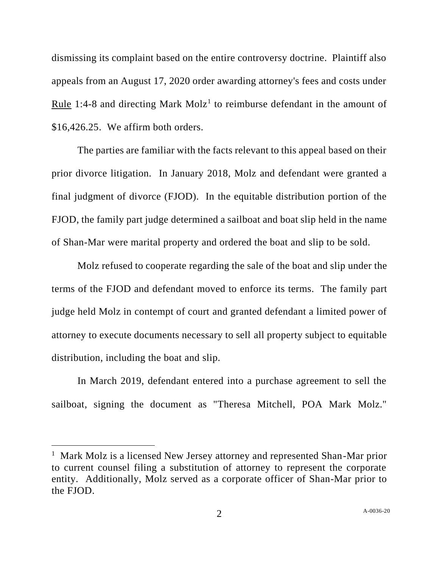dismissing its complaint based on the entire controversy doctrine. Plaintiff also appeals from an August 17, 2020 order awarding attorney's fees and costs under Rule 1:4-8 and directing Mark Molz<sup>1</sup> to reimburse defendant in the amount of \$16,426.25. We affirm both orders.

The parties are familiar with the facts relevant to this appeal based on their prior divorce litigation. In January 2018, Molz and defendant were granted a final judgment of divorce (FJOD). In the equitable distribution portion of the FJOD, the family part judge determined a sailboat and boat slip held in the name of Shan-Mar were marital property and ordered the boat and slip to be sold.

Molz refused to cooperate regarding the sale of the boat and slip under the terms of the FJOD and defendant moved to enforce its terms. The family part judge held Molz in contempt of court and granted defendant a limited power of attorney to execute documents necessary to sell all property subject to equitable distribution, including the boat and slip.

In March 2019, defendant entered into a purchase agreement to sell the sailboat, signing the document as "Theresa Mitchell, POA Mark Molz."

<sup>&</sup>lt;sup>1</sup> Mark Molz is a licensed New Jersey attorney and represented Shan-Mar prior to current counsel filing a substitution of attorney to represent the corporate entity. Additionally, Molz served as a corporate officer of Shan-Mar prior to the FJOD.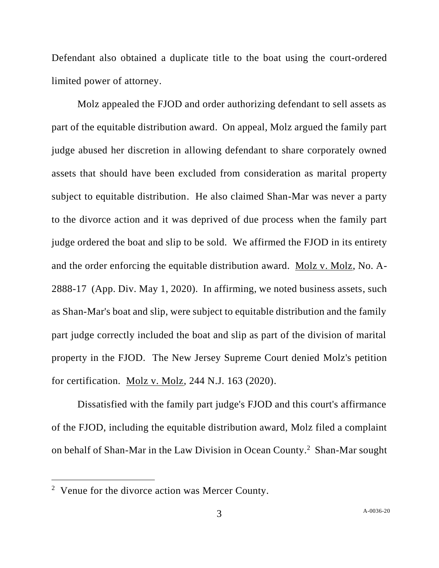Defendant also obtained a duplicate title to the boat using the court-ordered limited power of attorney.

Molz appealed the FJOD and order authorizing defendant to sell assets as part of the equitable distribution award. On appeal, Molz argued the family part judge abused her discretion in allowing defendant to share corporately owned assets that should have been excluded from consideration as marital property subject to equitable distribution. He also claimed Shan-Mar was never a party to the divorce action and it was deprived of due process when the family part judge ordered the boat and slip to be sold. We affirmed the FJOD in its entirety and the order enforcing the equitable distribution award. Molz v. Molz, No. A-2888-17 (App. Div. May 1, 2020). In affirming, we noted business assets, such as Shan-Mar's boat and slip, were subject to equitable distribution and the family part judge correctly included the boat and slip as part of the division of marital property in the FJOD. The New Jersey Supreme Court denied Molz's petition for certification. Molz v. Molz, 244 N.J. 163 (2020).

Dissatisfied with the family part judge's FJOD and this court's affirmance of the FJOD, including the equitable distribution award, Molz filed a complaint on behalf of Shan-Mar in the Law Division in Ocean County. 2 Shan-Mar sought

<sup>&</sup>lt;sup>2</sup> Venue for the divorce action was Mercer County.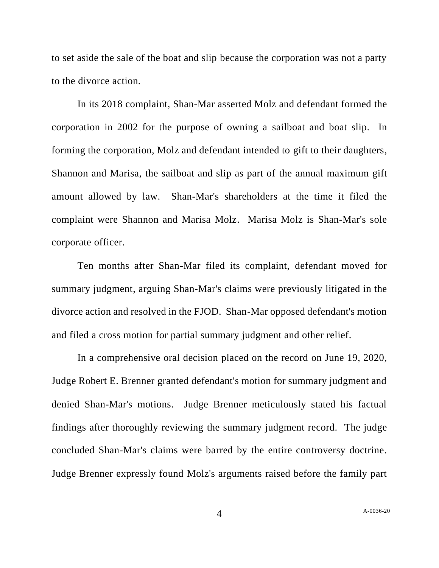to set aside the sale of the boat and slip because the corporation was not a party to the divorce action.

In its 2018 complaint, Shan-Mar asserted Molz and defendant formed the corporation in 2002 for the purpose of owning a sailboat and boat slip. In forming the corporation, Molz and defendant intended to gift to their daughters, Shannon and Marisa, the sailboat and slip as part of the annual maximum gift amount allowed by law. Shan-Mar's shareholders at the time it filed the complaint were Shannon and Marisa Molz. Marisa Molz is Shan-Mar's sole corporate officer.

Ten months after Shan-Mar filed its complaint, defendant moved for summary judgment, arguing Shan-Mar's claims were previously litigated in the divorce action and resolved in the FJOD. Shan-Mar opposed defendant's motion and filed a cross motion for partial summary judgment and other relief.

In a comprehensive oral decision placed on the record on June 19, 2020, Judge Robert E. Brenner granted defendant's motion for summary judgment and denied Shan-Mar's motions. Judge Brenner meticulously stated his factual findings after thoroughly reviewing the summary judgment record. The judge concluded Shan-Mar's claims were barred by the entire controversy doctrine. Judge Brenner expressly found Molz's arguments raised before the family part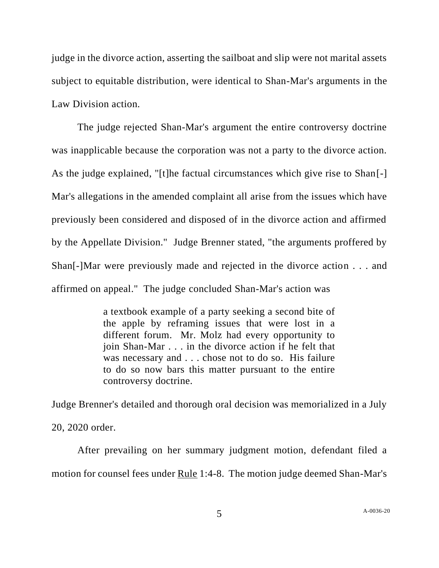judge in the divorce action, asserting the sailboat and slip were not marital assets subject to equitable distribution, were identical to Shan-Mar's arguments in the Law Division action.

The judge rejected Shan-Mar's argument the entire controversy doctrine was inapplicable because the corporation was not a party to the divorce action. As the judge explained, "[t]he factual circumstances which give rise to Shan[-] Mar's allegations in the amended complaint all arise from the issues which have previously been considered and disposed of in the divorce action and affirmed by the Appellate Division." Judge Brenner stated, "the arguments proffered by Shan[-]Mar were previously made and rejected in the divorce action . . . and affirmed on appeal." The judge concluded Shan-Mar's action was

> a textbook example of a party seeking a second bite of the apple by reframing issues that were lost in a different forum. Mr. Molz had every opportunity to join Shan-Mar . . . in the divorce action if he felt that was necessary and . . . chose not to do so. His failure to do so now bars this matter pursuant to the entire controversy doctrine.

Judge Brenner's detailed and thorough oral decision was memorialized in a July 20, 2020 order.

After prevailing on her summary judgment motion, defendant filed a motion for counsel fees under Rule 1:4-8. The motion judge deemed Shan-Mar's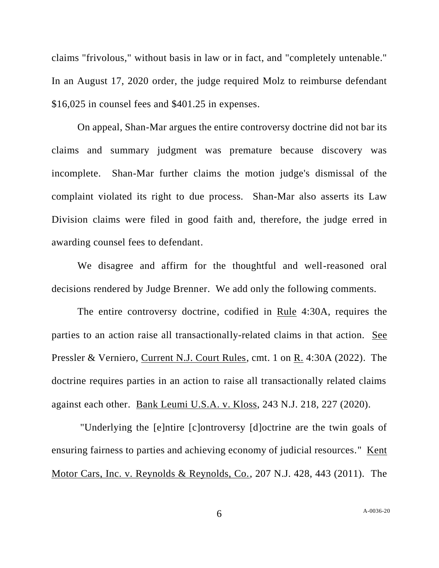claims "frivolous," without basis in law or in fact, and "completely untenable." In an August 17, 2020 order, the judge required Molz to reimburse defendant \$16,025 in counsel fees and \$401.25 in expenses.

On appeal, Shan-Mar argues the entire controversy doctrine did not bar its claims and summary judgment was premature because discovery was incomplete. Shan-Mar further claims the motion judge's dismissal of the complaint violated its right to due process. Shan-Mar also asserts its Law Division claims were filed in good faith and, therefore, the judge erred in awarding counsel fees to defendant.

We disagree and affirm for the thoughtful and well-reasoned oral decisions rendered by Judge Brenner. We add only the following comments.

The entire controversy doctrine, codified in Rule 4:30A, requires the parties to an action raise all transactionally-related claims in that action. See Pressler & Verniero, Current N.J. Court Rules, cmt. 1 on R. 4:30A (2022). The doctrine requires parties in an action to raise all transactionally related claims against each other. Bank Leumi U.S.A. v. Kloss, 243 N.J. 218, 227 (2020).

"Underlying the [e]ntire [c]ontroversy [d]octrine are the twin goals of ensuring fairness to parties and achieving economy of judicial resources." Kent Motor Cars, Inc. v. Reynolds & Reynolds, Co., 207 N.J. 428, 443 (2011). The

6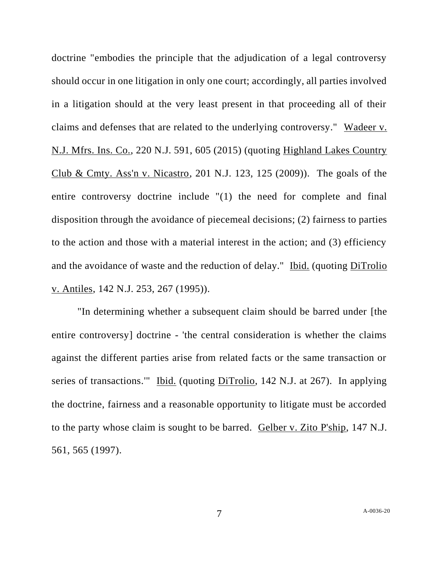doctrine "embodies the principle that the adjudication of a legal controversy should occur in one litigation in only one court; accordingly, all parties involved in a litigation should at the very least present in that proceeding all of their claims and defenses that are related to the underlying controversy." Wadeer v. N.J. Mfrs. Ins. Co., 220 N.J. 591, 605 (2015) (quoting Highland Lakes Country Club & Cmty. Ass'n v. Nicastro, 201 N.J. 123, 125 (2009)). The goals of the entire controversy doctrine include "(1) the need for complete and final disposition through the avoidance of piecemeal decisions; (2) fairness to parties to the action and those with a material interest in the action; and (3) efficiency and the avoidance of waste and the reduction of delay." Ibid. (quoting DiTrolio v. Antiles, 142 N.J. 253, 267 (1995)).

"In determining whether a subsequent claim should be barred under [the entire controversy] doctrine - 'the central consideration is whether the claims against the different parties arise from related facts or the same transaction or series of transactions.'" Ibid. (quoting DiTrolio, 142 N.J. at 267). In applying the doctrine, fairness and a reasonable opportunity to litigate must be accorded to the party whose claim is sought to be barred. Gelber v. Zito P'ship, 147 N.J. 561, 565 (1997).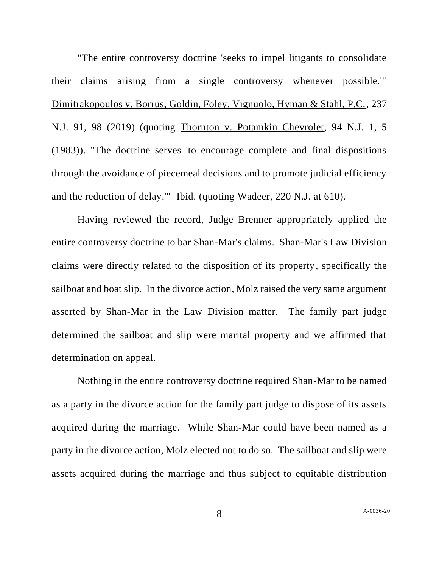"The entire controversy doctrine 'seeks to impel litigants to consolidate their claims arising from a single controversy whenever possible.'" Dimitrakopoulos v. Borrus, Goldin, Foley, Vignuolo, Hyman & Stahl, P.C., 237 N.J. 91, 98 (2019) (quoting Thornton v. Potamkin Chevrolet, 94 N.J. 1, 5 (1983)). "The doctrine serves 'to encourage complete and final dispositions through the avoidance of piecemeal decisions and to promote judicial efficiency and the reduction of delay.'" Ibid. (quoting Wadeer, 220 N.J. at 610).

Having reviewed the record, Judge Brenner appropriately applied the entire controversy doctrine to bar Shan-Mar's claims. Shan-Mar's Law Division claims were directly related to the disposition of its property, specifically the sailboat and boat slip. In the divorce action, Molz raised the very same argument asserted by Shan-Mar in the Law Division matter. The family part judge determined the sailboat and slip were marital property and we affirmed that determination on appeal.

Nothing in the entire controversy doctrine required Shan-Mar to be named as a party in the divorce action for the family part judge to dispose of its assets acquired during the marriage. While Shan-Mar could have been named as a party in the divorce action, Molz elected not to do so. The sailboat and slip were assets acquired during the marriage and thus subject to equitable distribution